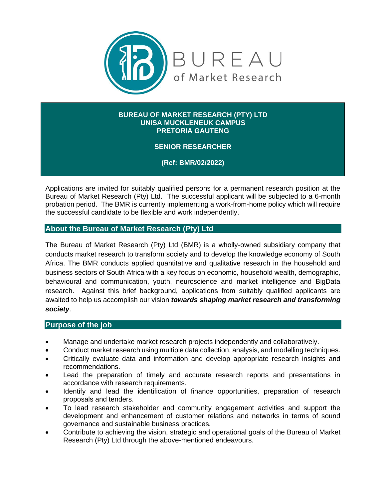

#### **BUREAU OF MARKET RESEARCH (PTY) LTD UNISA MUCKLENEUK CAMPUS PRETORIA GAUTENG**

# **SENIOR RESEARCHER**

**(Ref: BMR/02/2022)**

Applications are invited for suitably qualified persons for a permanent research position at the Bureau of Market Research (Pty) Ltd. The successful applicant will be subjected to a 6-month probation period. The BMR is currently implementing a work-from-home policy which will require the successful candidate to be flexible and work independently.

#### **About the Bureau of Market Research (Pty) Ltd**

The Bureau of Market Research (Pty) Ltd (BMR) is a wholly-owned subsidiary company that conducts market research to transform society and to develop the knowledge economy of South Africa. The BMR conducts applied quantitative and qualitative research in the household and business sectors of South Africa with a key focus on economic, household wealth, demographic, behavioural and communication, youth, neuroscience and market intelligence and BigData research. Against this brief background, applications from suitably qualified applicants are awaited to help us accomplish our vision *towards shaping market research and transforming society*.

#### **Purpose of the job**

- Manage and undertake market research projects independently and collaboratively.
- Conduct market research using multiple data collection, analysis, and modelling techniques.
- Critically evaluate data and information and develop appropriate research insights and recommendations.
- Lead the preparation of timely and accurate research reports and presentations in accordance with research requirements.
- Identify and lead the identification of finance opportunities, preparation of research proposals and tenders.
- To lead research stakeholder and community engagement activities and support the development and enhancement of customer relations and networks in terms of sound governance and sustainable business practices.
- Contribute to achieving the vision, strategic and operational goals of the Bureau of Market Research (Pty) Ltd through the above-mentioned endeavours.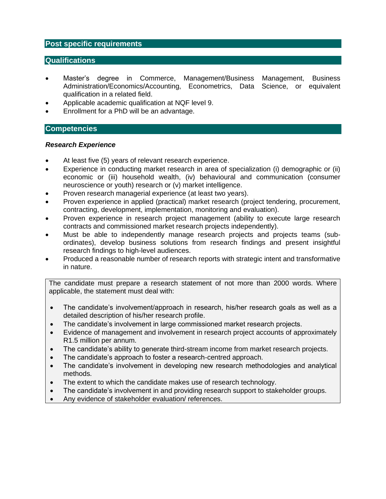### **Post specific requirements**

## **Qualifications**

- Master's degree in Commerce, Management/Business Management, Business Administration/Economics/Accounting, Econometrics, Data Science, or equivalent qualification in a related field.
- Applicable academic qualification at NQF level 9.
- Enrollment for a PhD will be an advantage.

## **Competencies**

#### *Research Experience*

- At least five (5) years of relevant research experience.
- Experience in conducting market research in area of specialization (i) demographic or (ii) economic or (iii) household wealth, (iv) behavioural and communication (consumer neuroscience or youth) research or (v) market intelligence.
- Proven research managerial experience (at least two years).
- Proven experience in applied (practical) market research (project tendering, procurement, contracting, development, implementation, monitoring and evaluation).
- Proven experience in research project management (ability to execute large research contracts and commissioned market research projects independently).
- Must be able to independently manage research projects and projects teams (subordinates), develop business solutions from research findings and present insightful research findings to high-level audiences.
- Produced a reasonable number of research reports with strategic intent and transformative in nature.

The candidate must prepare a research statement of not more than 2000 words. Where applicable, the statement must deal with:

- The candidate's involvement/approach in research, his/her research goals as well as a detailed description of his/her research profile.
- The candidate's involvement in large commissioned market research projects.
- Evidence of management and involvement in research project accounts of approximately R1.5 million per annum.
- The candidate's ability to generate third-stream income from market research projects.
- The candidate's approach to foster a research-centred approach.
- The candidate's involvement in developing new research methodologies and analytical methods.
- The extent to which the candidate makes use of research technology.
- The candidate's involvement in and providing research support to stakeholder groups.
- Any evidence of stakeholder evaluation/ references.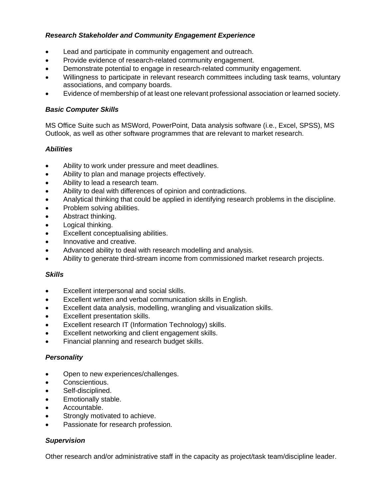## *Research Stakeholder and Community Engagement Experience*

- Lead and participate in community engagement and outreach.
- Provide evidence of research-related community engagement.
- Demonstrate potential to engage in research-related community engagement.
- Willingness to participate in relevant research committees including task teams, voluntary associations, and company boards.
- Evidence of membership of at least one relevant professional association or learned society.

#### *Basic Computer Skills*

MS Office Suite such as MSWord, PowerPoint, Data analysis software (i.e., Excel, SPSS), MS Outlook, as well as other software programmes that are relevant to market research.

#### *Abilities*

- Ability to work under pressure and meet deadlines.
- Ability to plan and manage projects effectively.
- Ability to lead a research team.
- Ability to deal with differences of opinion and contradictions.
- Analytical thinking that could be applied in identifying research problems in the discipline.
- Problem solving abilities.
- Abstract thinking.
- Logical thinking.
- Excellent conceptualising abilities.
- Innovative and creative.
- Advanced ability to deal with research modelling and analysis.
- Ability to generate third-stream income from commissioned market research projects.

#### *Skills*

- Excellent interpersonal and social skills.
- Excellent written and verbal communication skills in English.
- Excellent data analysis, modelling, wrangling and visualization skills.
- Excellent presentation skills.
- Excellent research IT (Information Technology) skills.
- Excellent networking and client engagement skills.
- Financial planning and research budget skills.

#### *Personality*

- Open to new experiences/challenges.
- Conscientious.
- Self-disciplined.
- Emotionally stable.
- Accountable.
- Strongly motivated to achieve.
- Passionate for research profession.

#### *Supervision*

Other research and/or administrative staff in the capacity as project/task team/discipline leader.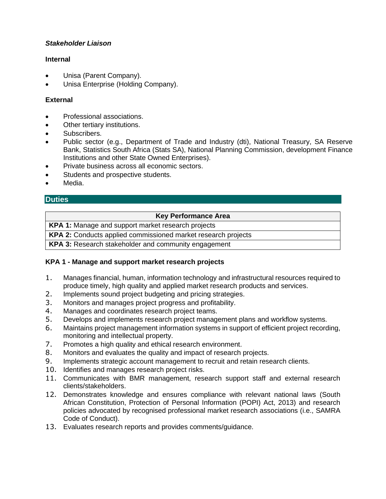## *Stakeholder Liaison*

### **Internal**

- Unisa (Parent Company).
- Unisa Enterprise (Holding Company).

# **External**

- Professional associations.
- Other tertiary institutions.
- Subscribers.
- Public sector (e.g., Department of Trade and Industry (dti), National Treasury, SA Reserve Bank, Statistics South Africa (Stats SA), National Planning Commission, development Finance Institutions and other State Owned Enterprises).
- Private business across all economic sectors.
- Students and prospective students.
- Media.

# **Duties**

#### **Key Performance Area**

**KPA 1:** Manage and support market research projects

**KPA 2:** Conducts applied commissioned market research projects

**KPA 3:** Research stakeholder and community engagement

# **KPA 1 - Manage and support market research projects**

- 1. Manages financial, human, information technology and infrastructural resources required to produce timely, high quality and applied market research products and services.
- 2. Implements sound project budgeting and pricing strategies.
- 3. Monitors and manages project progress and profitability.
- 4. Manages and coordinates research project teams.
- 5. Develops and implements research project management plans and workflow systems.
- 6. Maintains project management information systems in support of efficient project recording, monitoring and intellectual property.
- 7. Promotes a high quality and ethical research environment.
- 8. Monitors and evaluates the quality and impact of research projects.
- 9. Implements strategic account management to recruit and retain research clients.
- 10. Identifies and manages research project risks.
- 11. Communicates with BMR management, research support staff and external research clients/stakeholders.
- 12. Demonstrates knowledge and ensures compliance with relevant national laws (South African Constitution, Protection of Personal Information (POPI) Act, 2013) and research policies advocated by recognised professional market research associations (i.e., SAMRA Code of Conduct).
- 13. Evaluates research reports and provides comments/guidance.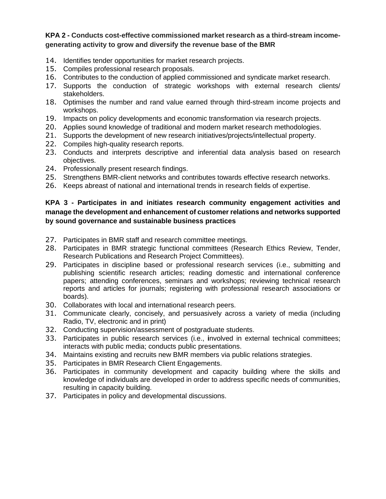# **KPA 2 - Conducts cost-effective commissioned market research as a third-stream incomegenerating activity to grow and diversify the revenue base of the BMR**

- 14. Identifies tender opportunities for market research projects.
- 15. Compiles professional research proposals.
- 16. Contributes to the conduction of applied commissioned and syndicate market research.
- 17. Supports the conduction of strategic workshops with external research clients/ stakeholders.
- 18. Optimises the number and rand value earned through third-stream income projects and workshops.
- 19. Impacts on policy developments and economic transformation via research projects.
- 20. Applies sound knowledge of traditional and modern market research methodologies.
- 21. Supports the development of new research initiatives/projects/intellectual property.
- 22. Compiles high-quality research reports.
- 23. Conducts and interprets descriptive and inferential data analysis based on research objectives.
- 24. Professionally present research findings.
- 25. Strengthens BMR-client networks and contributes towards effective research networks.
- 26. Keeps abreast of national and international trends in research fields of expertise.

# **KPA 3 - Participates in and initiates research community engagement activities and manage the development and enhancement of customer relations and networks supported by sound governance and sustainable business practices**

- 27. Participates in BMR staff and research committee meetings.
- 28. Participates in BMR strategic functional committees (Research Ethics Review, Tender, Research Publications and Research Project Committees).
- 29. Participates in discipline based or professional research services (i.e., submitting and publishing scientific research articles; reading domestic and international conference papers; attending conferences, seminars and workshops; reviewing technical research reports and articles for journals; registering with professional research associations or boards).
- 30. Collaborates with local and international research peers.
- 31. Communicate clearly, concisely, and persuasively across a variety of media (including Radio, TV, electronic and in print)
- 32. Conducting supervision/assessment of postgraduate students.
- 33. Participates in public research services (i.e., **i**nvolved in external technical committees; interacts with public media; conducts public presentations.
- 34. Maintains existing and recruits new BMR members via public relations strategies.
- 35. Participates in BMR Research Client Engagements.
- 36. Participates in community development and capacity building where the skills and knowledge of individuals are developed in order to address specific needs of communities, resulting in capacity building.
- 37. Participates in policy and developmental discussions.